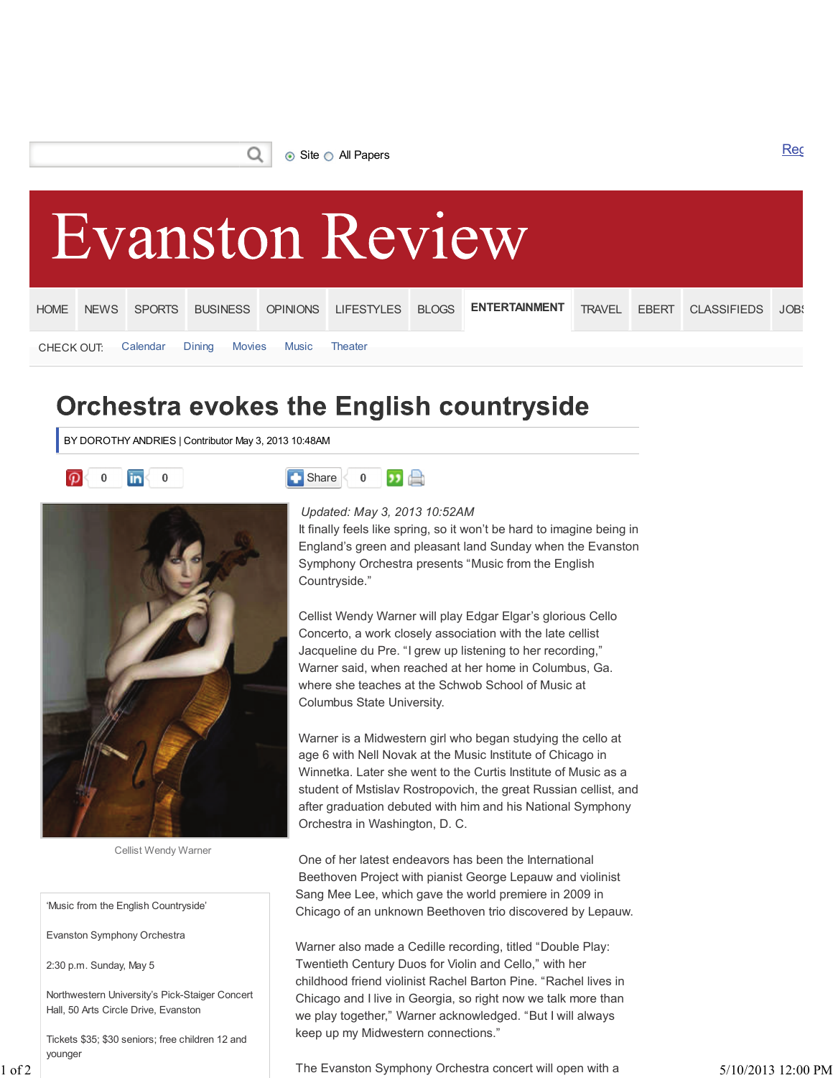Ο



## **Orchestra evokes the English countryside**

BY DOROTHY ANDRIES | Contributor May 3, 2013 10:48AM





Cellist Wendy Warner

'Music from the English Countryside'

Evanston Symphony Orchestra

2:30 p.m. Sunday, May 5

Northwestern University's Pick-Staiger Concert Hall, 50 Arts Circle Drive, Evanston

Tickets \$35; \$30 seniors; free children 12 and younger



## *Updated: May 3, 2013 10:52AM*

It finally feels like spring, so it won't be hard to imagine being in England's green and pleasant land Sunday when the Evanston Symphony Orchestra presents "Music from the English Countryside."

Cellist Wendy Warner will play Edgar Elgar's glorious Cello Concerto, a work closely association with the late cellist Jacqueline du Pre. "I grew up listening to her recording," Warner said, when reached at her home in Columbus, Ga. where she teaches at the Schwob School of Music at Columbus State University.

Warner is a Midwestern girl who began studying the cello at age 6 with Nell Novak at the Music Institute of Chicago in Winnetka. Later she went to the Curtis Institute of Music as a student of Mstislav Rostropovich, the great Russian cellist, and after graduation debuted with him and his National Symphony Orchestra in Washington, D. C.

One of her latest endeavors has been the International Beethoven Project with pianist George Lepauw and violinist Sang Mee Lee, which gave the world premiere in 2009 in Chicago of an unknown Beethoven trio discovered by Lepauw.

Warner also made a Cedille recording, titled "Double Play: Twentieth Century Duos for Violin and Cello," with her childhood friend violinist Rachel Barton Pine. "Rachel lives in Chicago and I live in Georgia, so right now we talk more than we play together," Warner acknowledged. "But I will always keep up my Midwestern connections."

1 of 2 The Evanston Symphony Orchestra concert will open with a 5/10/2013 12:00 PM